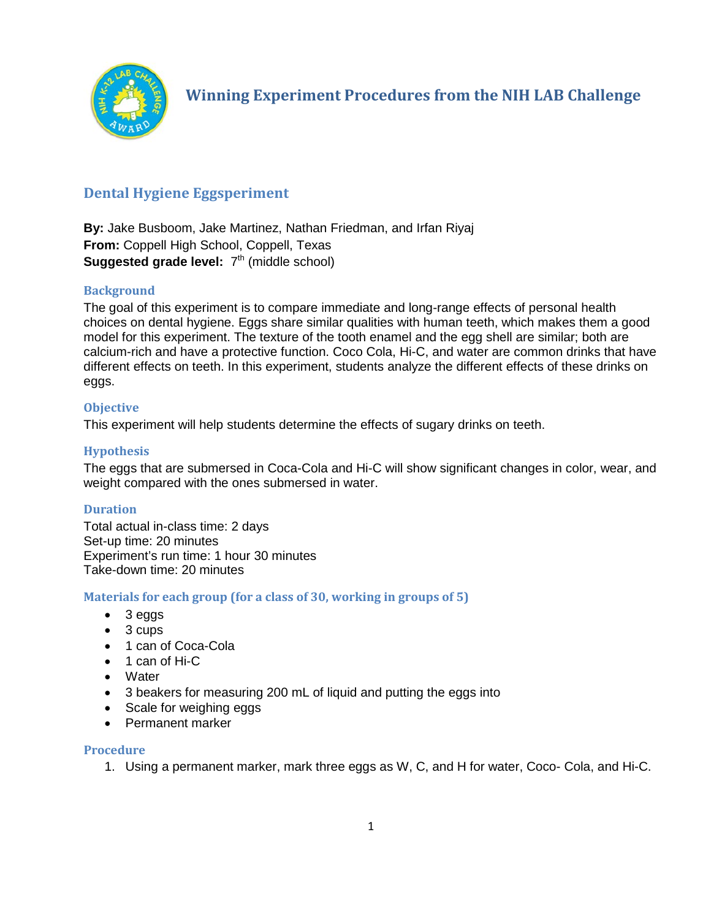

# **Dental Hygiene Eggsperiment**

**By:** Jake Busboom, Jake Martinez, Nathan Friedman, and Irfan Riyaj **From:** Coppell High School, Coppell, Texas **Suggested grade level:**  $7<sup>th</sup>$  (middle school)

# **Background**

The goal of this experiment is to compare immediate and long-range effects of personal health choices on dental hygiene. Eggs share similar qualities with human teeth, which makes them a good model for this experiment. The texture of the tooth enamel and the egg shell are similar; both are calcium-rich and have a protective function. Coco Cola, Hi-C, and water are common drinks that have different effects on teeth. In this experiment, students analyze the different effects of these drinks on eggs.

# **Objective**

This experiment will help students determine the effects of sugary drinks on teeth.

# **Hypothesis**

The eggs that are submersed in Coca-Cola and Hi-C will show significant changes in color, wear, and weight compared with the ones submersed in water.

# **Duration**

Total actual in-class time: 2 days Set-up time: 20 minutes Experiment's run time: 1 hour 30 minutes Take-down time: 20 minutes

# **Materials for each group (for a class of 30, working in groups of 5)**

- 3 eggs
- 3 cups
- 1 can of Coca-Cola
- 1 can of Hi-C
- Water
- 3 beakers for measuring 200 mL of liquid and putting the eggs into
- Scale for weighing eggs
- Permanent marker

#### **Procedure**

1. Using a permanent marker, mark three eggs as W, C, and H for water, Coco- Cola, and Hi-C.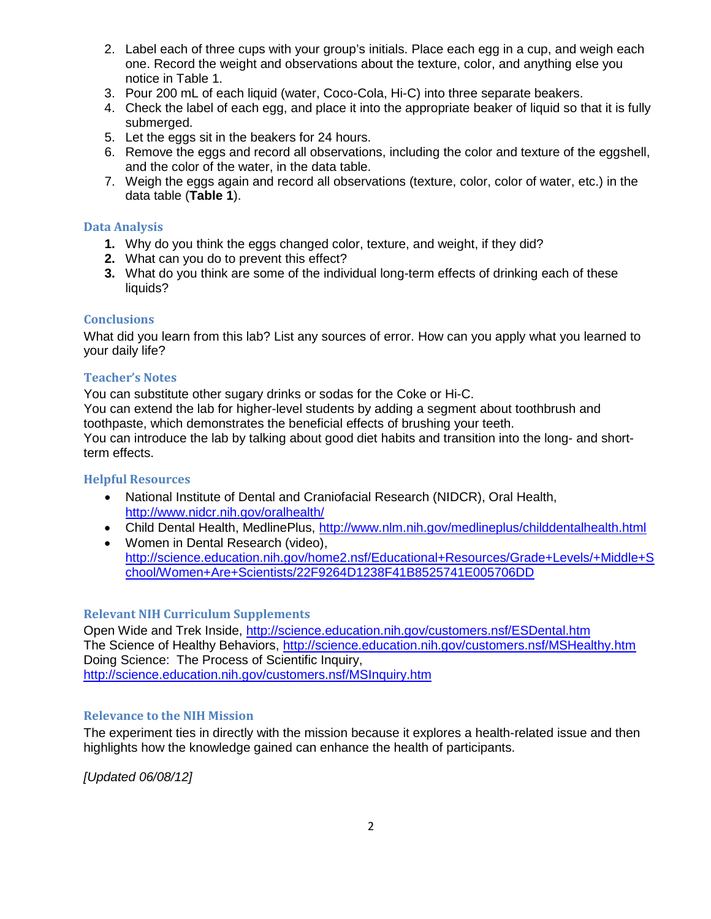- 2. Label each of three cups with your group's initials. Place each egg in a cup, and weigh each one. Record the weight and observations about the texture, color, and anything else you notice in Table 1.
- 3. Pour 200 mL of each liquid (water, Coco-Cola, Hi-C) into three separate beakers.
- 4. Check the label of each egg, and place it into the appropriate beaker of liquid so that it is fully submerged.
- 5. Let the eggs sit in the beakers for 24 hours.
- 6. Remove the eggs and record all observations, including the color and texture of the eggshell, and the color of the water, in the data table.
- 7. Weigh the eggs again and record all observations (texture, color, color of water, etc.) in the data table (**Table 1**).

#### **Data Analysis**

- **1.** Why do you think the eggs changed color, texture, and weight, if they did?
- **2.** What can you do to prevent this effect?
- **3.** What do you think are some of the individual long-term effects of drinking each of these liquids?

#### **Conclusions**

What did you learn from this lab? List any sources of error. How can you apply what you learned to your daily life?

#### **Teacher's Notes**

You can substitute other sugary drinks or sodas for the Coke or Hi-C. You can extend the lab for higher-level students by adding a segment about toothbrush and toothpaste, which demonstrates the beneficial effects of brushing your teeth. You can introduce the lab by talking about good diet habits and transition into the long- and shortterm effects.

#### **Helpful Resources**

- National Institute of Dental and Craniofacial Research (NIDCR), Oral Health, <http://www.nidcr.nih.gov/oralhealth/>
- Child Dental Health, MedlinePlus,<http://www.nlm.nih.gov/medlineplus/childdentalhealth.html>
- Women in Dental Research (video), [http://science.education.nih.gov/home2.nsf/Educational+Resources/Grade+Levels/+Middle+S](http://science.education.nih.gov/home2.nsf/Educational+Resources/Grade+Levels/+Middle+School/Women+Are+Scientists/22F9264D1238F41B8525741E005706DD) [chool/Women+Are+Scientists/22F9264D1238F41B8525741E005706DD](http://science.education.nih.gov/home2.nsf/Educational+Resources/Grade+Levels/+Middle+School/Women+Are+Scientists/22F9264D1238F41B8525741E005706DD)

### **Relevant NIH Curriculum Supplements**

Open Wide and Trek Inside,<http://science.education.nih.gov/customers.nsf/ESDental.htm> The Science of Healthy Behaviors,<http://science.education.nih.gov/customers.nsf/MSHealthy.htm> Doing Science: The Process of Scientific Inquiry, <http://science.education.nih.gov/customers.nsf/MSInquiry.htm>

#### **Relevance to the NIH Mission**

The experiment ties in directly with the mission because it explores a health-related issue and then highlights how the knowledge gained can enhance the health of participants.

*[Updated 06/08/12]*